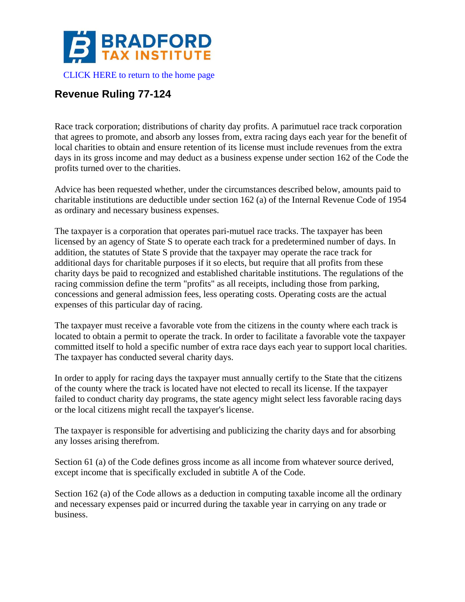

## **Revenue Ruling 77-124**

Race track corporation; distributions of charity day profits. A parimutuel race track corporation that agrees to promote, and absorb any losses from, extra racing days each year for the benefit of local charities to obtain and ensure retention of its license must include revenues from the extra days in its gross income and may deduct as a business expense under section 162 of the Code the profits turned over to the charities.

Advice has been requested whether, under the circumstances described below, amounts paid to charitable institutions are deductible under section 162 (a) of the Internal Revenue Code of 1954 as ordinary and necessary business expenses.

The taxpayer is a corporation that operates pari-mutuel race tracks. The taxpayer has been licensed by an agency of State S to operate each track for a predetermined number of days. In addition, the statutes of State S provide that the taxpayer may operate the race track for additional days for charitable purposes if it so elects, but require that all profits from these charity days be paid to recognized and established charitable institutions. The regulations of the racing commission define the term "profits" as all receipts, including those from parking, concessions and general admission fees, less operating costs. Operating costs are the actual expenses of this particular day of racing.

The taxpayer must receive a favorable vote from the citizens in the county where each track is located to obtain a permit to operate the track. In order to facilitate a favorable vote the taxpayer committed itself to hold a specific number of extra race days each year to support local charities. The taxpayer has conducted several charity days.

In order to apply for racing days the taxpayer must annually certify to the State that the citizens of the county where the track is located have not elected to recall its license. If the taxpayer failed to conduct charity day programs, the state agency might select less favorable racing days or the local citizens might recall the taxpayer's license.

The taxpayer is responsible for advertising and publicizing the charity days and for absorbing any losses arising therefrom.

Section 61 (a) of the Code defines gross income as all income from whatever source derived, except income that is specifically excluded in subtitle A of the Code.

Section 162 (a) of the Code allows as a deduction in computing taxable income all the ordinary and necessary expenses paid or incurred during the taxable year in carrying on any trade or business.